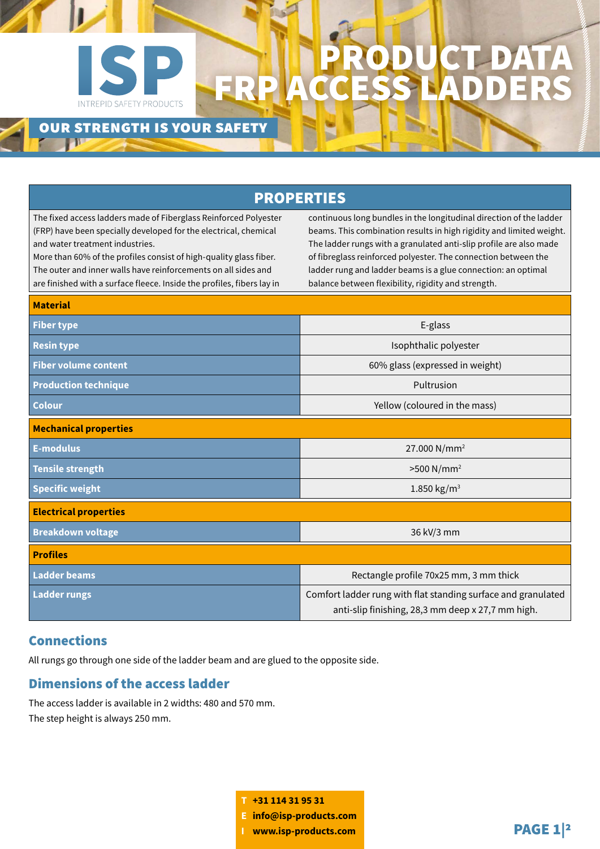## **INTREPID SAFETY PRODUCTS**

### PRODUCT DATA FRP ACCESS LADDERS

### our strength is your safety

| <b>PROPERTIES</b>                                                                                                                                                                                                                                                                                                                                                                         |                                                                                                                                                                                                                                                                                                                                                                                                             |
|-------------------------------------------------------------------------------------------------------------------------------------------------------------------------------------------------------------------------------------------------------------------------------------------------------------------------------------------------------------------------------------------|-------------------------------------------------------------------------------------------------------------------------------------------------------------------------------------------------------------------------------------------------------------------------------------------------------------------------------------------------------------------------------------------------------------|
| The fixed access ladders made of Fiberglass Reinforced Polyester<br>(FRP) have been specially developed for the electrical, chemical<br>and water treatment industries.<br>More than 60% of the profiles consist of high-quality glass fiber.<br>The outer and inner walls have reinforcements on all sides and<br>are finished with a surface fleece. Inside the profiles, fibers lay in | continuous long bundles in the longitudinal direction of the ladder<br>beams. This combination results in high rigidity and limited weight.<br>The ladder rungs with a granulated anti-slip profile are also made<br>of fibreglass reinforced polyester. The connection between the<br>ladder rung and ladder beams is a glue connection: an optimal<br>balance between flexibility, rigidity and strength. |
| <b>Material</b>                                                                                                                                                                                                                                                                                                                                                                           |                                                                                                                                                                                                                                                                                                                                                                                                             |
| <b>Fiber type</b>                                                                                                                                                                                                                                                                                                                                                                         | E-glass                                                                                                                                                                                                                                                                                                                                                                                                     |
| <b>Resin type</b>                                                                                                                                                                                                                                                                                                                                                                         | Isophthalic polyester                                                                                                                                                                                                                                                                                                                                                                                       |
| <b>Fiber volume content</b>                                                                                                                                                                                                                                                                                                                                                               | 60% glass (expressed in weight)                                                                                                                                                                                                                                                                                                                                                                             |
| <b>Production technique</b>                                                                                                                                                                                                                                                                                                                                                               | Pultrusion                                                                                                                                                                                                                                                                                                                                                                                                  |
| <b>Colour</b>                                                                                                                                                                                                                                                                                                                                                                             | Yellow (coloured in the mass)                                                                                                                                                                                                                                                                                                                                                                               |
| <b>Mechanical properties</b>                                                                                                                                                                                                                                                                                                                                                              |                                                                                                                                                                                                                                                                                                                                                                                                             |
| <b>E-modulus</b>                                                                                                                                                                                                                                                                                                                                                                          | 27.000 N/mm <sup>2</sup>                                                                                                                                                                                                                                                                                                                                                                                    |
| <b>Tensile strength</b>                                                                                                                                                                                                                                                                                                                                                                   | $>500$ N/mm <sup>2</sup>                                                                                                                                                                                                                                                                                                                                                                                    |
| <b>Specific weight</b>                                                                                                                                                                                                                                                                                                                                                                    | 1.850 $kg/m^3$                                                                                                                                                                                                                                                                                                                                                                                              |
| <b>Electrical properties</b>                                                                                                                                                                                                                                                                                                                                                              |                                                                                                                                                                                                                                                                                                                                                                                                             |
| <b>Breakdown voltage</b>                                                                                                                                                                                                                                                                                                                                                                  | 36 kV/3 mm                                                                                                                                                                                                                                                                                                                                                                                                  |
| <b>Profiles</b>                                                                                                                                                                                                                                                                                                                                                                           |                                                                                                                                                                                                                                                                                                                                                                                                             |
| <b>Ladder beams</b>                                                                                                                                                                                                                                                                                                                                                                       | Rectangle profile 70x25 mm, 3 mm thick                                                                                                                                                                                                                                                                                                                                                                      |
| <b>Ladder rungs</b>                                                                                                                                                                                                                                                                                                                                                                       | Comfort ladder rung with flat standing surface and granulated<br>anti-slip finishing, 28,3 mm deep x 27,7 mm high.                                                                                                                                                                                                                                                                                          |

### Connections

All rungs go through one side of the ladder beam and are glued to the opposite side.

### Dimensions of the access ladder

The access ladder is available in 2 widths: 480 and 570 mm. The step height is always 250 mm.

> **T +31 114 31 95 31 E info@isp-products.com <sup>I</sup> www.isp-products.com** PAGE 1|2